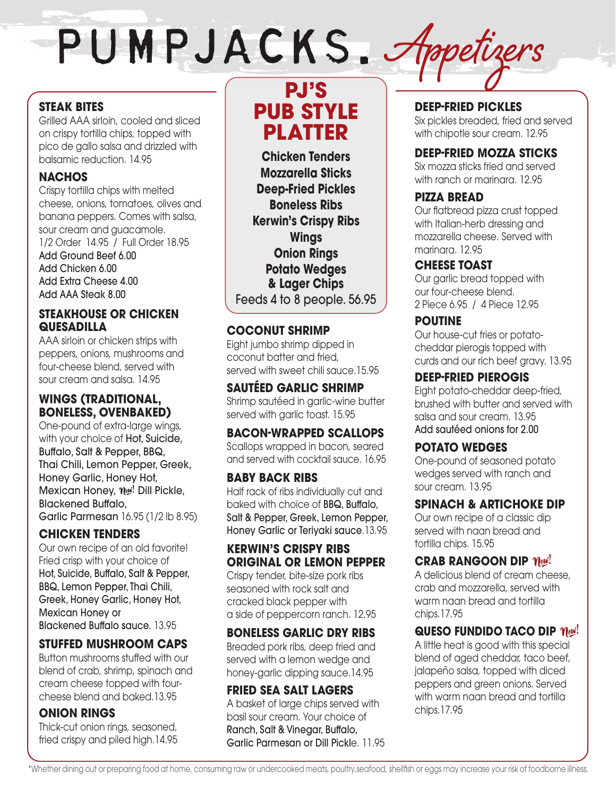# PUMPJACKS. Appetizers

## **STEAK BITES**

Grilled AAA sirloin, cooled and sliced on crispy tortilla chips, topped with pico de gallo salsa and drizzled with balsamic reduction. 14.95

## **NACHOS**

Crispy tortilla chips with melted cheese, onions, tomatoes, olives and banana peppers. Comes with salsa, sour cream and guacamole. 1/2 Order 14.95 / Full Order 18.95 Add Ground Beef 6.00 Add Chicken 6.00 Add Extra Cheese 4.00 Add AAA Steak 8.00

## **STEAKHOUSE OR CHICKEN QUESADILLA**

AAA sirloin or chicken strips with peppers, onions, mushrooms and four-cheese blend, served with sour cream and salsa. 14.95

## **WINGS (TRADITIONAL, BONELESS, OVENBAKED)**

One-pound of extra-large wings, with your choice of **Hot, Suicide**, Buffalo, Salt & Pepper, BBQ, Thai Chili, Lemon Pepper, Greek, Honey Garlic, Honey Hot, Mexican Honey,  $\eta_{\mathcal{W}}$ ! Dill Pickle, Blackened Buffalo, Garlic Parmesan 16.95 (1/2 lb 8.95)

## **CHICKEN TENDERS**

Our own recipe of an old favorite! Fried crisp with your choice of Hot, Suicide, Buffalo, Salt & Pepper, BBQ, Lemon Pepper, Thai Chili, Greek, Honey Garlic, Honey Hot, Mexican Honey or Blackened Buffalo sauce. 13.95

## **STUFFED MUSHROOM CAPS**

Button mushrooms stuffed with our blend of crab, shrimp, spinach and cream cheese topped with fourcheese blend and baked.13.95

## **ONION RINGS**

Thick-cut onion rings, seasoned, fried crispy and piled high.14.95

## **PJ'S PUB STYLE PLATTER**

**Chicken Tenders Mozzarella Sticks Deep-Fried Pickles Boneless Ribs Kerwin's Crispy Ribs Wings Onion Rings Potato Wedges & Lager Chips**  Feeds 4 to 8 people. 56.95

## **COCONUT SHRIMP**

Eight jumbo shrimp dipped in coconut batter and fried, served with sweet chili sauce.15.95

**SAUTÉED GARLIC SHRIMP** Shrimp sautéed in garlic-wine butter served with garlic toast. 15.95

## **BACON-WRAPPED SCALLOPS**

Scallops wrapped in bacon, seared and served with cocktail sauce. 16.95

## **BABY BACK RIBS**

Half rack of ribs individually cut and baked with choice of BBQ, Buffalo, Salt & Pepper, Greek, Lemon Pepper, Honey Garlic or Teriyaki sauce.13.95

## **KERWIN'S CRISPY RIBS ORIGINAL OR LEMON PEPPER**

Crispy tender, bite-size pork ribs seasoned with rock salt and cracked black pepper with a side of peppercorn ranch. 12.95

## **BONELESS GARLIC DRY RIBS**

Breaded pork ribs, deep fried and served with a lemon wedge and honey-garlic dipping sauce.14.95

## **FRIED SEA SALT LAGERS**

A basket of large chips served with basil sour cream. Your choice of Ranch, Salt & Vinegar, Buffalo, Garlic Parmesan or Dill Pickle. 11.95

## **DEEP-FRIED PICKLES**

Six pickles breaded, fried and served with chipotle sour cream. 12.95

## **DEEP-FRIED MOZZA STICKS**

Six mozza sticks fried and served with ranch or marinara. 12.95

## **PIZZA BREAD**

Our flatbread pizza crust topped with Italian-herb dressing and mozzarella cheese. Served with marinara. 12.95

## **CHEESE TOAST**

Our garlic bread topped with our four-cheese blend. 2 Piece 6.95 / 4 Piece 12.95

## **POUTINE**

Our house-cut fries or potatocheddar pierogis topped with curds and our rich beef gravy. 13.95

## **DEEP-FRIED PIEROGIS**

Eight potato-cheddar deep-fried, brushed with butter and served with salsa and sour cream. 13.95 Add sautéed onions for 2.00

## **POTATO WEDGES**

One-pound of seasoned potato wedges served with ranch and sour cream. 13.95

## **SPINACH & ARTICHOKE DIP**

Our own recipe of a classic dip served with naan bread and tortilla chips. 15.95

## **CRAB RANGOON DIP**  $\eta_{\ell}$

A delicious blend of cream cheese, crab and mozzarella, served with warm naan bread and tortilla chips.17.95

## **QUESO FUNDIDO TACO DIP**  $\eta_{\text{eV}}$ **!**

A little heat is good with this special blend of aged cheddar, taco beef, jalapeño salsa, topped with diced peppers and green onions. Served with warm naan bread and tortilla chips.17.95